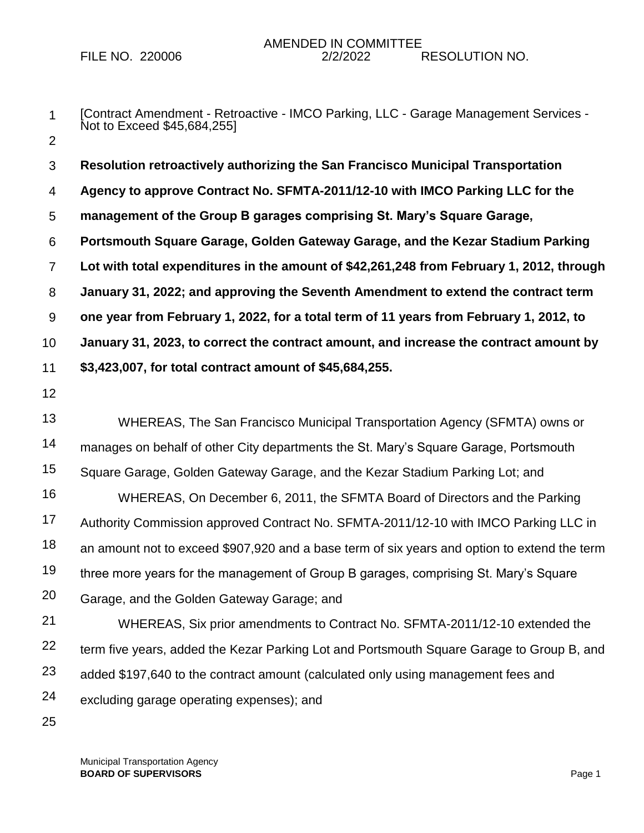- 1 2 [Contract Amendment - Retroactive - IMCO Parking, LLC - Garage Management Services - Not to Exceed \$45,684,255]
- 3 4 5 6 7 8 9 10 11 12 13 14 15 16 17 18 19 20 21 22 23 **Resolution retroactively authorizing the San Francisco Municipal Transportation Agency to approve Contract No. SFMTA-2011/12-10 with IMCO Parking LLC for the management of the Group B garages comprising St. Mary's Square Garage, Portsmouth Square Garage, Golden Gateway Garage, and the Kezar Stadium Parking Lot with total expenditures in the amount of \$42,261,248 from February 1, 2012, through January 31, 2022; and approving the Seventh Amendment to extend the contract term one year from February 1, 2022, for a total term of 11 years from February 1, 2012, to January 31, 2023, to correct the contract amount, and increase the contract amount by \$3,423,007, for total contract amount of \$45,684,255.** WHEREAS, The San Francisco Municipal Transportation Agency (SFMTA) owns or manages on behalf of other City departments the St. Mary's Square Garage, Portsmouth Square Garage, Golden Gateway Garage, and the Kezar Stadium Parking Lot; and WHEREAS, On December 6, 2011, the SFMTA Board of Directors and the Parking Authority Commission approved Contract No. SFMTA-2011/12-10 with IMCO Parking LLC in an amount not to exceed \$907,920 and a base term of six years and option to extend the term three more years for the management of Group B garages, comprising St. Mary's Square Garage, and the Golden Gateway Garage; and WHEREAS, Six prior amendments to Contract No. SFMTA-2011/12-10 extended the term five years, added the Kezar Parking Lot and Portsmouth Square Garage to Group B, and added \$197,640 to the contract amount (calculated only using management fees and
- 24 excluding garage operating expenses); and
- 25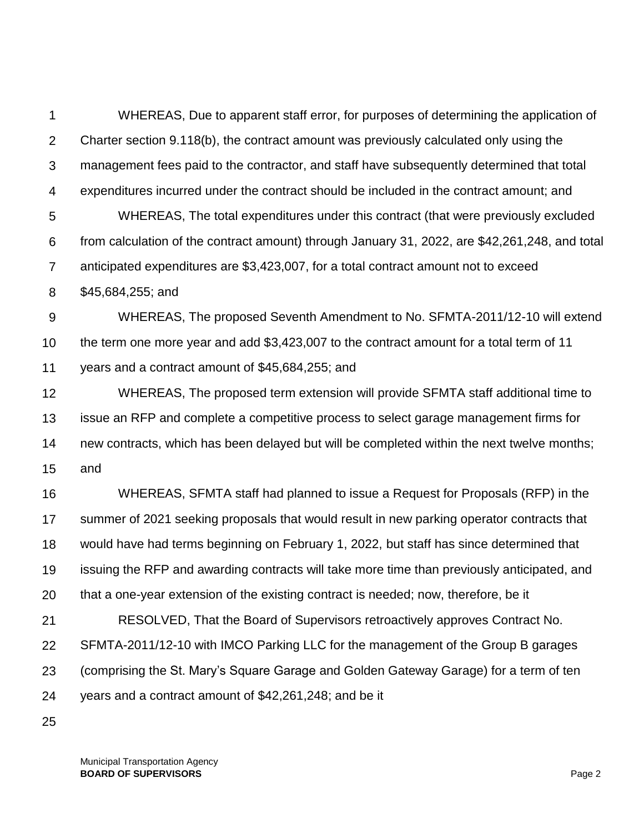1 2 3 4 5 6 7 8 9 10 11 12 13 14 15 16 17 18 19 20 21 22 23 24 WHEREAS, Due to apparent staff error, for purposes of determining the application of Charter section 9.118(b), the contract amount was previously calculated only using the management fees paid to the contractor, and staff have subsequently determined that total expenditures incurred under the contract should be included in the contract amount; and WHEREAS, The total expenditures under this contract (that were previously excluded from calculation of the contract amount) through January 31, 2022, are \$42,261,248, and total anticipated expenditures are \$3,423,007, for a total contract amount not to exceed \$45,684,255; and WHEREAS, The proposed Seventh Amendment to No. SFMTA-2011/12-10 will extend the term one more year and add \$3,423,007 to the contract amount for a total term of 11 years and a contract amount of \$45,684,255; and WHEREAS, The proposed term extension will provide SFMTA staff additional time to issue an RFP and complete a competitive process to select garage management firms for new contracts, which has been delayed but will be completed within the next twelve months; and WHEREAS, SFMTA staff had planned to issue a Request for Proposals (RFP) in the summer of 2021 seeking proposals that would result in new parking operator contracts that would have had terms beginning on February 1, 2022, but staff has since determined that issuing the RFP and awarding contracts will take more time than previously anticipated, and that a one-year extension of the existing contract is needed; now, therefore, be it RESOLVED, That the Board of Supervisors retroactively approves Contract No. SFMTA-2011/12-10 with IMCO Parking LLC for the management of the Group B garages (comprising the St. Mary's Square Garage and Golden Gateway Garage) for a term of ten years and a contract amount of \$42,261,248; and be it

25

Municipal Transportation Agency **BOARD OF SUPERVISORS** Page 2